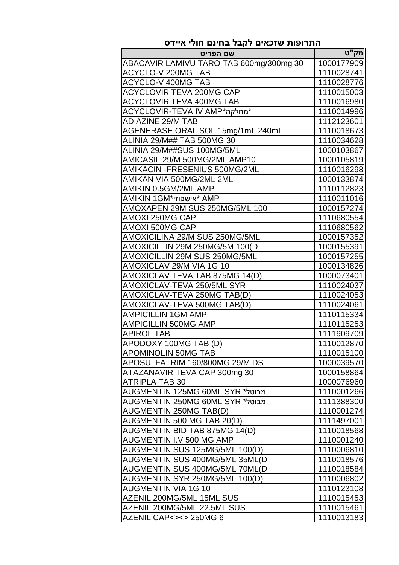| שם הפריט                                | מק"ט       |
|-----------------------------------------|------------|
| ABACAVIR LAMIVU TARO TAB 600mg/300mg 30 | 1000177909 |
| <b>ACYCLO-V 200MG TAB</b>               | 1110028741 |
| <b>ACYCLO-V 400MG TAB</b>               | 1110028776 |
| ACYCLOVIR TEVA 200MG CAP                | 1110015003 |
| <b>ACYCLOVIR TEVA 400MG TAB</b>         | 1110016980 |
| *מחלקה*ACYCLOVIR-TEVA IV AMP            | 1110014996 |
| ADIAZINE 29/M TAB                       | 1112123601 |
| AGENERASE ORAL SOL 15mg/1mL 240mL       | 1110018673 |
| ALINIA 29/M## TAB 500MG 30              | 1110034628 |
| ALINIA 29/M##SUS 100MG/5ML              | 1000103867 |
| AMICASIL 29/M 500MG/2ML AMP10           | 1000105819 |
| AMIKACIN - FRESENIUS 500MG/2ML          | 1110016298 |
| AMIKAN VIA 500MG/2ML 2ML                | 1000133874 |
| AMIKIN 0.5GM/2ML AMP                    | 1110112823 |
| <b>AMIKIN 1GM*אישפוזי</b> * AMP         | 1110011016 |
| AMOXAPEN 29M SUS 250MG/5ML 100          | 1000157274 |
| <b>AMOXI 250MG CAP</b>                  | 1110680554 |
| AMOXI 500MG CAP                         | 1110680562 |
| AMOXICILINA 29/M SUS 250MG/5ML          | 1000157352 |
| AMOXICILLIN 29M 250MG/5M 100(D          | 1000155391 |
| AMOXICILLIN 29M SUS 250MG/5ML           | 1000157255 |
| AMOXICLAV 29/M VIA 1G 10                | 1000134826 |
| AMOXICLAV TEVA TAB 875MG 14(D)          | 1000073401 |
| AMOXICLAV-TEVA 250/5ML SYR              | 1110024037 |
| AMOXICLAV-TEVA 250MG TAB(D)             | 1110024053 |
| AMOXICLAV-TEVA 500MG TAB(D)             | 1110024061 |
| <b>AMPICILLIN 1GM AMP</b>               | 1110115334 |
| <b>AMPICILLIN 500MG AMP</b>             | 1110115253 |
| <b>APIROL TAB</b>                       | 1111909709 |
| APODOXY 100MG TAB (D)                   | 1110012870 |
| <b>APOMINOLIN 50MG TAB</b>              | 1110015100 |
| APOSULFATRIM 160/800MG 29/M DS          | 1000039570 |
| ATAZANAVIR TEVA CAP 300mg 30            | 1000158864 |
| <b>ATRIPLA TAB 30</b>                   | 1000076960 |
| מבוטל* AUGMENTIN 125MG 60ML SYR         | 1110001266 |
| מבוטל* AUGMENTIN 250MG 60ML SYR         | 1111388300 |
| <b>AUGMENTIN 250MG TAB(D)</b>           | 1110001274 |
| AUGMENTIN 500 MG TAB 20(D)              | 1111497001 |
| AUGMENTIN BID TAB 875MG 14(D)           | 1110018568 |
| AUGMENTIN I.V 500 MG AMP                | 1110001240 |
| AUGMENTIN SUS 125MG/5ML 100(D)          | 1110006810 |
| AUGMENTIN SUS 400MG/5ML 35ML(D          | 1110018576 |
| AUGMENTIN SUS 400MG/5ML 70ML(D          | 1110018584 |
| AUGMENTIN SYR 250MG/5ML 100(D)          | 1110006802 |
| <b>AUGMENTIN VIA 1G 10</b>              | 1110123108 |
| AZENIL 200MG/5ML 15ML SUS               | 1110015453 |
| AZENIL 200MG/5ML 22.5ML SUS             | 1110015461 |
| AZENIL CAP <> <> 250MG 6                | 1110013183 |

## **התרופות שזכאים לקבל בחינם חולי איידס**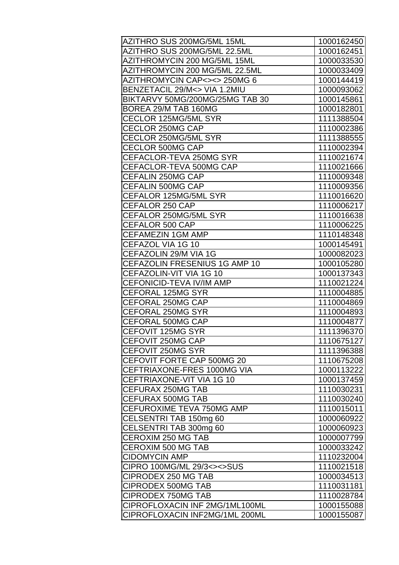| AZITHRO SUS 200MG/5ML 15ML      | 1000162450 |
|---------------------------------|------------|
| AZITHRO SUS 200MG/5ML 22.5ML    | 1000162451 |
| AZITHROMYCIN 200 MG/5ML 15ML    | 1000033530 |
| AZITHROMYCIN 200 MG/5ML 22.5ML  | 1000033409 |
| AZITHROMYCIN CAP<><> 250MG 6    | 1000144419 |
| BENZETACIL 29/M<> VIA 1.2MIU    | 1000093062 |
| BIKTARVY 50MG/200MG/25MG TAB 30 | 1000145861 |
| BOREA 29/M TAB 160MG            | 1000182801 |
| CECLOR 125MG/5ML SYR            | 1111388504 |
| CECLOR 250MG CAP                | 1110002386 |
| CECLOR 250MG/5ML SYR            | 1111388555 |
| <b>CECLOR 500MG CAP</b>         | 1110002394 |
| CEFACLOR-TEVA 250MG SYR         | 1110021674 |
| CEFACLOR-TEVA 500MG CAP         | 1110021666 |
| CEFALIN 250MG CAP               | 1110009348 |
| CEFALIN 500MG CAP               | 1110009356 |
| CEFALOR 125MG/5ML SYR           | 1110016620 |
| <b>CEFALOR 250 CAP</b>          | 1110006217 |
| CEFALOR 250MG/5ML SYR           | 1110016638 |
| <b>CEFALOR 500 CAP</b>          | 1110006225 |
| <b>CEFAMEZIN 1GM AMP</b>        | 1110148348 |
| CEFAZOL VIA 1G 10               | 1000145491 |
| CEFAZOLIN 29/M VIA 1G           | 1000082023 |
| CEFAZOLIN FRESENIUS 1G AMP 10   | 1000105280 |
| CEFAZOLIN-VIT VIA 1G 10         | 1000137343 |
| CEFONICID-TEVA IV/IM AMP        | 1110021224 |
| <b>CEFORAL 125MG SYR</b>        | 1110004885 |
| <b>CEFORAL 250MG CAP</b>        | 1110004869 |
| <b>CEFORAL 250MG SYR</b>        | 1110004893 |
| CEFORAL 500MG CAP               | 1110004877 |
| <b>CEFOVIT 125MG SYR</b>        | 1111396370 |
| CEFOVIT 250MG CAP               | 1110675127 |
| CEFOVIT 250MG SYR               | 1111396388 |
| CEFOVIT FORTE CAP 500MG 20      | 1110675208 |
| CEFTRIAXONE-FRES 1000MG VIA     | 1000113222 |
| CEFTRIAXONE-VIT VIA 1G 10       | 1000137459 |
| CEFURAX 250MG TAB               | 1110030231 |
| CEFURAX 500MG TAB               | 1110030240 |
| CEFUROXIME TEVA 750MG AMP       | 1110015011 |
| CELSENTRI TAB 150mg 60          | 1000060922 |
| CELSENTRI TAB 300mg 60          | 1000060923 |
| CEROXIM 250 MG TAB              | 1000007799 |
| <b>CEROXIM 500 MG TAB</b>       | 1000033242 |
| <b>CIDOMYCIN AMP</b>            | 1110232004 |
| CIPRO 100MG/ML 29/3<><>SUS      | 1110021518 |
| CIPRODEX 250 MG TAB             | 1000034513 |
| <b>CIPRODEX 500MG TAB</b>       | 1110031181 |
| <b>CIPRODEX 750MG TAB</b>       | 1110028784 |
| CIPROFLOXACIN INF 2MG/1ML100ML  | 1000155088 |
| CIPROFLOXACIN INF2MG/1ML 200ML  | 1000155087 |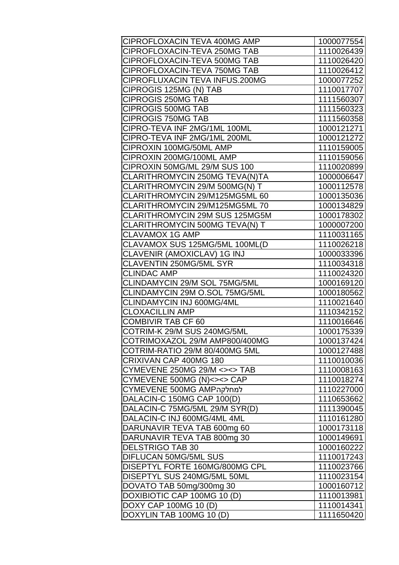| CIPROFLOXACIN TEVA 400MG AMP   | 1000077554 |
|--------------------------------|------------|
| CIPROFLOXACIN-TEVA 250MG TAB   | 1110026439 |
| CIPROFLOXACIN-TEVA 500MG TAB   | 1110026420 |
| CIPROFLOXACIN-TEVA 750MG TAB   | 1110026412 |
| CIPROFLUXACIN TEVA INFUS.200MG | 1000077252 |
| CIPROGIS 125MG (N) TAB         | 1110017707 |
| CIPROGIS 250MG TAB             | 1111560307 |
| <b>CIPROGIS 500MG TAB</b>      | 1111560323 |
| <b>CIPROGIS 750MG TAB</b>      | 1111560358 |
| CIPRO-TEVA INF 2MG/1ML 100ML   | 1000121271 |
| CIPRO-TEVA INF 2MG/1ML 200ML   | 1000121272 |
| CIPROXIN 100MG/50ML AMP        | 1110159005 |
| CIPROXIN 200MG/100ML AMP       | 1110159056 |
| CIPROXIN 50MG/ML 29/M SUS 100  | 1110020899 |
| CLARITHROMYCIN 250MG TEVA(N)TA | 1000006647 |
| CLARITHROMYCIN 29/M 500MG(N) T | 1000112578 |
| CLARITHROMYCIN 29/M125MG5ML 60 | 1000135036 |
| CLARITHROMYCIN 29/M125MG5ML 70 | 1000134829 |
| CLARITHROMYCIN 29M SUS 125MG5M | 1000178302 |
| CLARITHROMYCIN 500MG TEVA(N) T | 1000007200 |
| <b>CLAVAMOX 1G AMP</b>         | 1110031165 |
| CLAVAMOX SUS 125MG/5ML 100ML(D | 1110026218 |
| CLAVENIR (AMOXICLAV) 1G INJ    | 1000033396 |
| CLAVENTIN 250MG/5ML SYR        | 1110034318 |
| <b>CLINDAC AMP</b>             | 1110024320 |
| CLINDAMYCIN 29/M SOL 75MG/5ML  | 1000169120 |
| CLINDAMYCIN 29M O.SOL 75MG/5ML | 1000180562 |
| CLINDAMYCIN INJ 600MG/4ML      | 1110021640 |
| <b>CLOXACILLIN AMP</b>         | 1110342152 |
| <b>COMBIVIR TAB CF 60</b>      | 1110016646 |
| COTRIM-K 29/M SUS 240MG/5ML    | 1000175339 |
| COTRIMOXAZOL 29/M AMP800/400MG | 1000137424 |
| COTRIM-RATIO 29/M 80/400MG 5ML | 1000127488 |
| CRIXIVAN CAP 400MG 180         | 1110010036 |
| CYMEVENE 250MG 29/M <><> TAB   | 1110008163 |
| CYMEVENE 500MG (N) <> <> CAP   | 1110018274 |
| למחלקהCYMEVENE 500MG AMP       | 1110227000 |
| DALACIN-C 150MG CAP 100(D)     | 1110653662 |
| DALACIN-C 75MG/5ML 29/M SYR(D) | 1111390045 |
| DALACIN-C INJ 600MG/4ML 4ML    | 1110161280 |
| DARUNAVIR TEVA TAB 600mg 60    | 1000173118 |
| DARUNAVIR TEVA TAB 800mg 30    | 1000149691 |
| <b>DELSTRIGO TAB 30</b>        | 1000160222 |
| <b>DIFLUCAN 50MG/5ML SUS</b>   | 1110017243 |
| DISEPTYL FORTE 160MG/800MG CPL | 1110023766 |
| DISEPTYL SUS 240MG/5ML 50ML    | 1110023154 |
| DOVATO TAB 50mg/300mg 30       | 1000160712 |
| DOXIBIOTIC CAP 100MG 10 (D)    | 1110013981 |
| DOXY CAP 100MG 10 (D)          | 1110014341 |
| DOXYLIN TAB 100MG 10 (D)       | 1111650420 |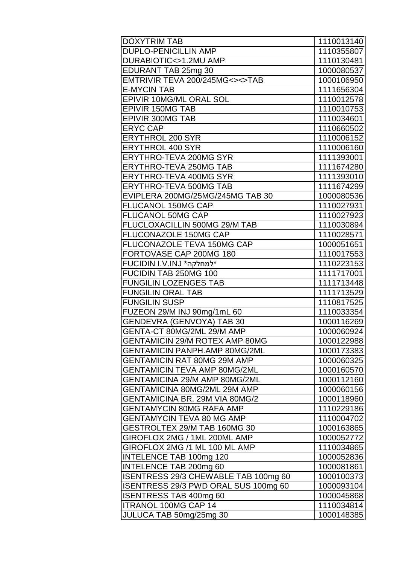| <b>DOXYTRIM TAB</b>                   | 1110013140 |
|---------------------------------------|------------|
| <b>DUPLO-PENICILLIN AMP</b>           | 1110355807 |
| DURABIOTIC<>1.2MU AMP                 | 1110130481 |
| EDURANT TAB 25mg 30                   | 1000080537 |
| EMTRIVIR TEVA 200/245MG<><>TAB        | 1000106950 |
| <b>E-MYCIN TAB</b>                    | 1111656304 |
| EPIVIR 10MG/ML ORAL SOL               | 1110012578 |
| <b>EPIVIR 150MG TAB</b>               | 1110010753 |
| <b>EPIVIR 300MG TAB</b>               | 1110034601 |
| <b>ERYC CAP</b>                       | 1110660502 |
| <b>ERYTHROL 200 SYR</b>               | 1110006152 |
| <b>ERYTHROL 400 SYR</b>               | 1110006160 |
| <b>ERYTHRO-TEVA 200MG SYR</b>         | 1111393001 |
| <b>ERYTHRO-TEVA 250MG TAB</b>         | 1111674280 |
| ERYTHRO-TEVA 400MG SYR                | 1111393010 |
| ERYTHRO-TEVA 500MG TAB                | 1111674299 |
| EVIPLERA 200MG/25MG/245MG TAB 30      | 1000080536 |
| <b>FLUCANOL 150MG CAP</b>             | 1110027931 |
| <b>FLUCANOL 50MG CAP</b>              | 1110027923 |
| FLUCLOXACILLIN 500MG 29/M TAB         | 1110030894 |
| FLUCONAZOLE 150MG CAP                 | 1110028571 |
| FLUCONAZOLE TEVA 150MG CAP            | 1000051651 |
| FORTOVASE CAP 200MG 180               | 1110017553 |
| *למחלקה* FUCIDIN I.V.INJ              | 1110223153 |
| FUCIDIN TAB 250MG 100                 | 1111717001 |
| <b>FUNGILIN LOZENGES TAB</b>          | 1111713448 |
| <b>FUNGILIN ORAL TAB</b>              | 1111713529 |
| <b>FUNGILIN SUSP</b>                  | 1110817525 |
| FUZEON 29/M INJ 90mg/1mL 60           | 1110033354 |
| <b>GENDEVRA (GENVOYA) TAB 30</b>      | 1000116269 |
| GENTA-CT 80MG/2ML 29/M AMP            | 1000060924 |
| <b>GENTAMICIN 29/M ROTEX AMP 80MG</b> | 1000122988 |
| <b>GENTAMICIN PANPH.AMP 80MG/2ML</b>  | 1000173383 |
| <b>GENTAMICIN RAT 80MG 29M AMP</b>    | 1000060325 |
| <b>GENTAMICIN TEVA AMP 80MG/2ML</b>   | 1000160570 |
| GENTAMICINA 29/M AMP 80MG/2ML         | 1000112160 |
| GENTAMICINA 80MG/2ML 29M AMP          | 1000060156 |
| GENTAMICINA BR. 29M VIA 80MG/2        | 1000118960 |
| <b>GENTAMYCIN 80MG RAFA AMP</b>       | 1110229186 |
| <b>GENTAMYCIN TEVA 80 MG AMP</b>      | 1110004702 |
| GESTROLTEX 29/M TAB 160MG 30          | 1000163865 |
| GIROFLOX 2MG / 1ML 200ML AMP          | 1000052772 |
| GIROFLOX 2MG /1 ML 100 ML AMP         | 1110034865 |
| <b>INTELENCE TAB 100mg 120</b>        | 1000052836 |
| <b>INTELENCE TAB 200mg 60</b>         | 1000081861 |
| ISENTRESS 29/3 CHEWABLE TAB 100mg 60  | 1000100373 |
| ISENTRESS 29/3 PWD ORAL SUS 100mg 60  | 1000093104 |
| <b>ISENTRESS TAB 400mg 60</b>         | 1000045868 |
| <b>ITRANOL 100MG CAP 14</b>           | 1110034814 |
| JULUCA TAB 50mg/25mg 30               | 1000148385 |
|                                       |            |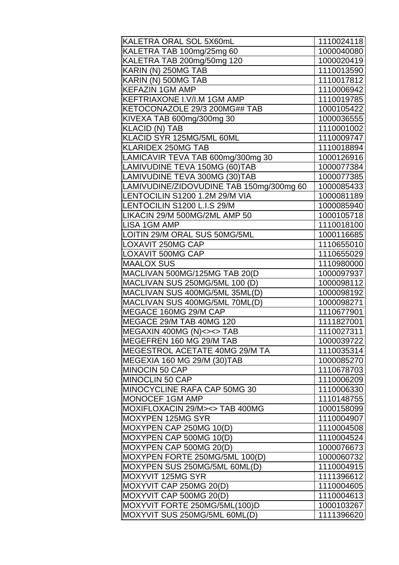| KALETRA ORAL SOL 5X60mL                  | 1110024118 |
|------------------------------------------|------------|
| KALETRA TAB 100mg/25mg 60                | 1000040080 |
| KALETRA TAB 200mg/50mg 120               | 1000020419 |
| KARIN (N) 250MG TAB                      | 1110013590 |
| KARIN (N) 500MG TAB                      | 1110017812 |
| <b>KEFAZIN 1GM AMP</b>                   | 1110006942 |
| KEFTRIAXONE I.V/I.M 1GM AMP              | 1110019785 |
| KETOCONAZOLE 29/3 200MG## TAB            | 1000105422 |
| KIVEXA TAB 600mg/300mg 30                | 1000036555 |
| <b>KLACID (N) TAB</b>                    | 1110001002 |
| KLACID SYR 125MG/5ML 60ML                | 1110009747 |
| KLARIDEX 250MG TAB                       | 1110018894 |
| LAMICAVIR TEVA TAB 600mg/300mg 30        | 1000126916 |
| LAMIVUDINE TEVA 150MG (60)TAB            | 1000077384 |
| LAMIVUDINE TEVA 300MG (30)TAB            | 1000077385 |
| LAMIVUDINE/ZIDOVUDINE TAB 150mg/300mg 60 | 1000085433 |
| LENTOCILIN S1200 1.2M 29/M VIA           | 1000081189 |
| LENTOCILIN S1200 L.I.S 29/M              | 1000085940 |
| LIKACIN 29/M 500MG/2ML AMP 50            | 1000105718 |
| <b>LISA 1GM AMP</b>                      | 1110018100 |
| LOITIN 29/M ORAL SUS 50MG/5ML            | 1000116685 |
| <b>LOXAVIT 250MG CAP</b>                 | 1110655010 |
| <b>LOXAVIT 500MG CAP</b>                 | 1110655029 |
| <b>MAALOX SUS</b>                        | 1110980000 |
| MACLIVAN 500MG/125MG TAB 20(D            | 1000097937 |
| MACLIVAN SUS 250MG/5ML 100 (D)           | 1000098112 |
| MACLIVAN SUS 400MG/5ML 35ML(D)           | 1000098192 |
| MACLIVAN SUS 400MG/5ML 70ML(D)           | 1000098271 |
| MEGACE 160MG 29/M CAP                    | 1110677901 |
| MEGACE 29/M TAB 40MG 120                 | 1111827001 |
| MEGAXIN 400MG (N) < > < > TAB            | 1110027311 |
| MEGEFREN 160 MG 29/M TAB                 | 1000039722 |
| MEGESTROL ACETATE 40MG 29/M TA           | 1110035314 |
| MEGEXIA 160 MG 29/M (30)TAB              | 1000085270 |
| MINOCIN 50 CAP                           | 1110678703 |
| MINOCLIN 50 CAP                          | 1110006209 |
| MINOCYCLINE RAFA CAP 50MG 30             | 1110006330 |
| MONOCEF 1GM AMP                          | 1110148755 |
| MOXIFLOXACIN 29/M><> TAB 400MG           | 1000158099 |
| MOXYPEN 125MG SYR                        | 1110004907 |
| MOXYPEN CAP 250MG 10(D)                  | 1110004508 |
| MOXYPEN CAP 500MG 10(D)                  | 1110004524 |
| MOXYPEN CAP 500MG 20(D)                  | 1000076673 |
| MOXYPEN FORTE 250MG/5ML 100(D)           | 1000060732 |
| MOXYPEN SUS 250MG/5ML 60ML(D)            | 1110004915 |
| MOXYVIT 125MG SYR                        | 1111396612 |
| MOXYVIT CAP 250MG 20(D)                  | 1110004605 |
| MOXYVIT CAP 500MG 20(D)                  | 1110004613 |
| MOXYVIT FORTE 250MG/5ML(100)D            | 1000103267 |
| MOXYVIT SUS 250MG/5ML 60ML(D)            | 1111396620 |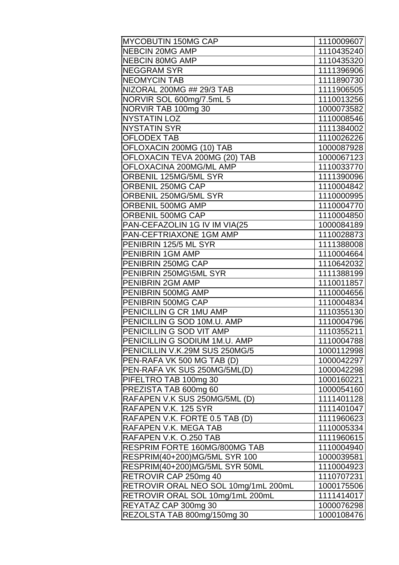| <b>MYCOBUTIN 150MG CAP</b>           | 1110009607 |
|--------------------------------------|------------|
| <b>NEBCIN 20MG AMP</b>               | 1110435240 |
| <b>NEBCIN 80MG AMP</b>               | 1110435320 |
| <b>NEGGRAM SYR</b>                   | 1111396906 |
| <b>NEOMYCIN TAB</b>                  | 1111890730 |
| NIZORAL 200MG ## 29/3 TAB            | 1111906505 |
| NORVIR SOL 600mg/7.5mL 5             | 1110013256 |
| NORVIR TAB 100mg 30                  | 1000073582 |
| <b>NYSTATIN LOZ</b>                  | 1110008546 |
| <b>NYSTATIN SYR</b>                  | 1111384002 |
| <b>OFLODEX TAB</b>                   | 1110026226 |
| OFLOXACIN 200MG (10) TAB             | 1000087928 |
| OFLOXACIN TEVA 200MG (20) TAB        | 1000067123 |
| OFLOXACINA 200MG/ML AMP              | 1110033770 |
| ORBENIL 125MG/5ML SYR                | 1111390096 |
| ORBENIL 250MG CAP                    | 1110004842 |
| ORBENIL 250MG/5ML SYR                | 1110000995 |
| ORBENIL 500MG AMP                    | 1110004770 |
| ORBENIL 500MG CAP                    | 1110004850 |
| PAN-CEFAZOLIN 1G IV IM VIA(25        | 1000084189 |
| PAN-CEFTRIAXONE 1GM AMP              | 1110028873 |
| PENIBRIN 125/5 ML SYR                | 1111388008 |
| PENIBRIN 1GM AMP                     | 1110004664 |
| PENIBRIN 250MG CAP                   | 1110642032 |
| PENIBRIN 250MG\5ML SYR               | 1111388199 |
| PENIBRIN 2GM AMP                     | 1110011857 |
| PENIBRIN 500MG AMP                   | 1110004656 |
| PENIBRIN 500MG CAP                   | 1110004834 |
| PENICILLIN G CR 1MU AMP              | 1110355130 |
| PENICILLIN G SOD 10M.U. AMP          | 1110004796 |
| PENICILLIN G SOD VIT AMP             | 1110355211 |
| PENICILLIN G SODIUM 1M.U. AMP        | 1110004788 |
| PENICILLIN V.K.29M SUS 250MG/5       | 1000112998 |
| PEN-RAFA VK 500 MG TAB (D)           | 1000042297 |
| PEN-RAFA VK SUS 250MG/5ML(D)         | 1000042298 |
| PIFELTRO TAB 100mg 30                | 1000160221 |
| PREZISTA TAB 600mg 60                | 1000054160 |
| RAFAPEN V.K SUS 250MG/5ML (D)        | 1111401128 |
| RAFAPEN V.K. 125 SYR                 | 1111401047 |
| RAFAPEN V.K. FORTE 0.5 TAB (D)       | 1111960623 |
| RAFAPEN V.K. MEGA TAB                | 1110005334 |
| RAFAPEN V.K. O.250 TAB               | 1111960615 |
| RESPRIM FORTE 160MG/800MG TAB        | 1110004940 |
| RESPRIM(40+200)MG/5ML SYR 100        | 1000039581 |
| RESPRIM(40+200)MG/5ML SYR 50ML       | 1110004923 |
| RETROVIR CAP 250mg 40                | 1110707231 |
| RETROVIR ORAL NEO SOL 10mg/1mL 200mL | 1000175506 |
| RETROVIR ORAL SOL 10mg/1mL 200mL     | 1111414017 |
| REYATAZ CAP 300mg 30                 | 1000076298 |
| REZOLSTA TAB 800mg/150mg 30          | 1000108476 |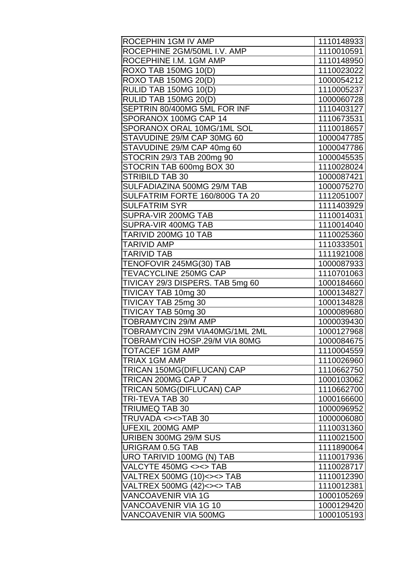| ROCEPHIN 1GM IV AMP              | 1110148933 |
|----------------------------------|------------|
| ROCEPHINE 2GM/50ML I.V. AMP      | 1110010591 |
| ROCEPHINE I.M. 1GM AMP           | 1110148950 |
| <b>ROXO TAB 150MG 10(D)</b>      | 1110023022 |
| <b>ROXO TAB 150MG 20(D)</b>      | 1000054212 |
| RULID TAB 150MG 10(D)            | 1110005237 |
| RULID TAB 150MG 20(D)            | 1000060728 |
| SEPTRIN 80/400MG 5ML FOR INF     | 1110403127 |
| SPORANOX 100MG CAP 14            | 1110673531 |
| SPORANOX ORAL 10MG/1ML SOL       | 1110018657 |
| STAVUDINE 29/M CAP 30MG 60       | 1000047785 |
| STAVUDINE 29/M CAP 40mg 60       | 1000047786 |
| STOCRIN 29/3 TAB 200mg 90        | 1000045535 |
| STOCRIN TAB 600mg BOX 30         | 1110028024 |
| <b>STRIBILD TAB 30</b>           | 1000087421 |
| SULFADIAZINA 500MG 29/M TAB      | 1000075270 |
| SULFATRIM FORTE 160/800G TA 20   | 1112051007 |
| SULFATRIM SYR                    | 1111403929 |
| SUPRA-VIR 200MG TAB              | 1110014031 |
| SUPRA-VIR 400MG TAB              | 1110014040 |
| TARIVID 200MG 10 TAB             | 1110025360 |
| <b>TARIVID AMP</b>               | 1110333501 |
| TARIVID TAB                      | 1111921008 |
| TENOFOVIR 245MG(30) TAB          | 1000087933 |
| TEVACYCLINE 250MG CAP            | 1110701063 |
| TIVICAY 29/3 DISPERS. TAB 5mg 60 | 1000184660 |
| TIVICAY TAB 10mg 30              | 1000134827 |
| TIVICAY TAB 25mg 30              | 1000134828 |
| TIVICAY TAB 50mg 30              | 1000089680 |
| <b>TOBRAMYCIN 29/M AMP</b>       | 1000039430 |
| TOBRAMYCIN 29M VIA40MG/1ML 2ML   | 1000127968 |
| TOBRAMYCIN HOSP.29/M VIA 80MG    | 1000084675 |
| TOTACEF 1GM AMP                  | 1110004559 |
| TRIAX 1GM AMP                    | 1110026960 |
| TRICAN 150MG(DIFLUCAN) CAP       | 1110662750 |
| TRICAN 200MG CAP 7               | 1000103062 |
| TRICAN 50MG(DIFLUCAN) CAP        | 1110662700 |
| TRI-TEVA TAB 30                  | 1000166600 |
| TRIUMEQ TAB 30                   | 1000096952 |
| TRUVADA <><>TAB 30               | 1000006080 |
| UFEXIL 200MG AMP                 | 1110031360 |
| URIBEN 300MG 29/M SUS            | 1110021500 |
| URIGRAM 0.5G TAB                 | 1111890064 |
| URO TARIVID 100MG (N) TAB        | 1110017936 |
| VALCYTE 450MG <><> TAB           | 1110028717 |
| VALTREX 500MG (10)<><> TAB       | 1110012390 |
| VALTREX 500MG (42)<><> TAB       | 1110012381 |
| VANCOAVENIR VIA 1G               | 1000105269 |
| VANCOAVENIR VIA 1G 10            | 1000129420 |
| VANCOAVENIR VIA 500MG            | 1000105193 |